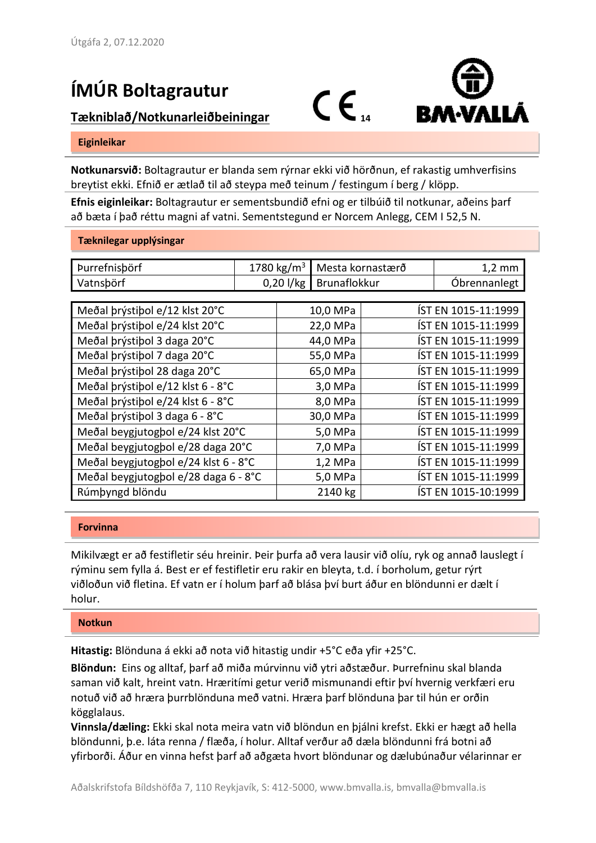## **ÍMÚR Boltagrautur**

# **IIVIUR DUILABLAULUI<br>Tækniblað/Notkunarleiðbeiningar** (CC<sub>14</sub>





#### **Eiginleikar**

**Notkunarsvið:** Boltagrautur er blanda sem rýrnar ekki við hörðnun, ef rakastig umhverfisins breytist ekki. Efnið er ætlað til að steypa með teinum / festingum í berg / klöpp.

**Efnis eiginleikar:** Boltagrautur er sementsbundið efni og er tilbúið til notkunar, aðeins þarf að bæta í það réttu magni af vatni. Sementstegund er Norcem Anlegg, CEM I 52,5 N.

#### **Tæknilegar upplýsingar**

| Þurrefnisþörf                        | 1780 kg/m <sup>3</sup> |             | Mesta kornastærð |                     | $1,2 \text{ mm}$    |  |  |  |
|--------------------------------------|------------------------|-------------|------------------|---------------------|---------------------|--|--|--|
| Vatnsbörf                            |                        | $0,20$ l/kg | Brunaflokkur     |                     | Óbrennanlegt        |  |  |  |
|                                      |                        |             |                  |                     |                     |  |  |  |
| Meðal þrýstiþol e/12 klst 20°C       |                        | 10,0 MPa    |                  |                     | ÍST EN 1015-11:1999 |  |  |  |
| Meðal þrýstiþol e/24 klst 20°C       |                        | 22,0 MPa    |                  |                     | ÍST EN 1015-11:1999 |  |  |  |
| Meðal þrýstiþol 3 daga 20°C          |                        |             | 44,0 MPa         |                     | ÍST EN 1015-11:1999 |  |  |  |
| Meðal þrýstiþol 7 daga 20°C          |                        |             | 55,0 MPa         |                     | ÍST EN 1015-11:1999 |  |  |  |
| Meðal þrýstiþol 28 daga 20°C         |                        |             | 65,0 MPa         |                     | ÍST EN 1015-11:1999 |  |  |  |
| Meðal þrýstiþol e/12 klst 6 - 8°C    |                        | 3,0 MPa     |                  |                     | ÍST EN 1015-11:1999 |  |  |  |
| Meðal þrýstiþol e/24 klst 6 - 8°C    |                        | 8,0 MPa     |                  |                     | ÍST EN 1015-11:1999 |  |  |  |
| Meðal þrýstiþol 3 daga 6 - 8°C       |                        | 30,0 MPa    |                  | ÍST EN 1015-11:1999 |                     |  |  |  |
| Meðal beygjutogþol e/24 klst 20°C    |                        | 5,0 MPa     |                  | ÍST EN 1015-11:1999 |                     |  |  |  |
| Meðal beygjutogbol e/28 daga 20°C    |                        | 7,0 MPa     |                  |                     | ÍST EN 1015-11:1999 |  |  |  |
| Meðal beygjutogþol e/24 klst 6 - 8°C |                        | $1,2$ MPa   |                  | ÍST EN 1015-11:1999 |                     |  |  |  |
| Meðal beygjutogbol e/28 daga 6 - 8°C |                        | 5,0 MPa     |                  | ÍST EN 1015-11:1999 |                     |  |  |  |
| Rúmþyngd blöndu                      |                        | 2140 kg     |                  |                     | ÍST EN 1015-10:1999 |  |  |  |

### **Forvinna**

Mikilvægt er að festifletir séu hreinir. Þeir þurfa að vera lausir við olíu, ryk og annað lauslegt í rýminu sem fylla á. Best er ef festifletir eru rakir en bleyta, t.d. í borholum, getur rýrt viðloðun við fletina. Ef vatn er í holum þarf að blása því burt áður en blöndunni er dælt í holur.

### **Notkun**

**Hitastig:** Blönduna á ekki að nota við hitastig undir +5°C eða yfir +25°C.

**Blöndun:** Eins og alltaf, þarf að miða múrvinnu við ytri aðstæður. Þurrefninu skal blanda saman við kalt, hreint vatn. Hræritími getur verið mismunandi eftir því hvernig verkfæri eru notuð við að hræra þurrblönduna með vatni. Hræra þarf blönduna þar til hún er orðin kögglalaus.

**Vinnsla/dæling:** Ekki skal nota meira vatn við blöndun en þjálni krefst. Ekki er hægt að hella blöndunni, þ.e. láta renna / flæða, í holur. Alltaf verður að dæla blöndunni frá botni að yfirborði. Áður en vinna hefst þarf að aðgæta hvort blöndunar og dælubúnaður vélarinnar er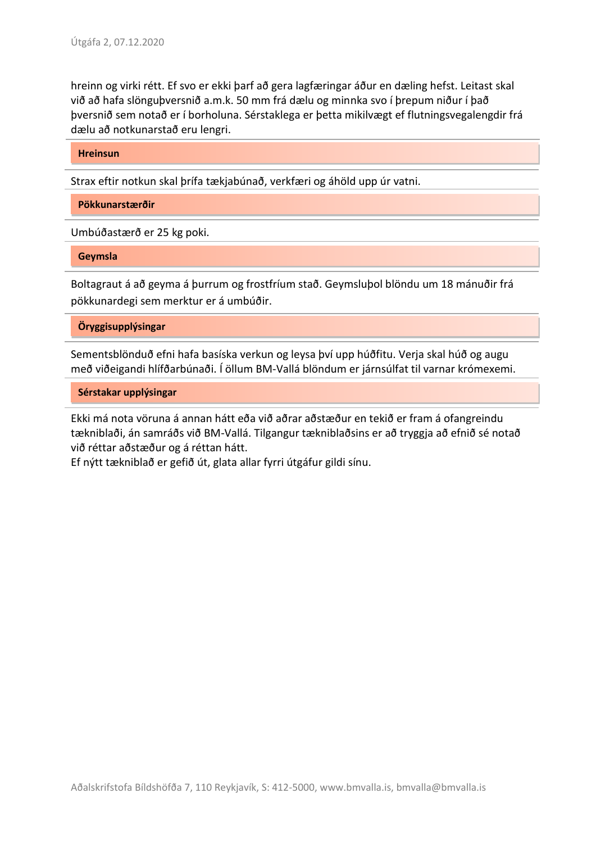hreinn og virki rétt. Ef svo er ekki þarf að gera lagfæringar áður en dæling hefst. Leitast skal við að hafa slönguþversnið a.m.k. 50 mm frá dælu og minnka svo í þrepum niður í það þversnið sem notað er í borholuna. Sérstaklega er þetta mikilvægt ef flutningsvegalengdir frá dælu að notkunarstað eru lengri.

**Hreinsun**

Strax eftir notkun skal þrífa tækjabúnað, verkfæri og áhöld upp úr vatni.

**Pökkunarstærðir**

Umbúðastærð er 25 kg poki.

**Geymsla**

Boltagraut á að geyma á þurrum og frostfríum stað. Geymsluþol blöndu um 18 mánuðir frá pökkunardegi sem merktur er á umbúðir.

**Öryggisupplýsingar**

Sementsblönduð efni hafa basíska verkun og leysa því upp húðfitu. Verja skal húð og augu með viðeigandi hlífðarbúnaði. Í öllum BM-Vallá blöndum er járnsúlfat til varnar krómexemi.

**Sérstakar upplýsingar**

Ekki má nota vöruna á annan hátt eða við aðrar aðstæður en tekið er fram á ofangreindu tækniblaði, án samráðs við BM-Vallá. Tilgangur tækniblaðsins er að tryggja að efnið sé notað við réttar aðstæður og á réttan hátt.

Ef nýtt tækniblað er gefið út, glata allar fyrri útgáfur gildi sínu.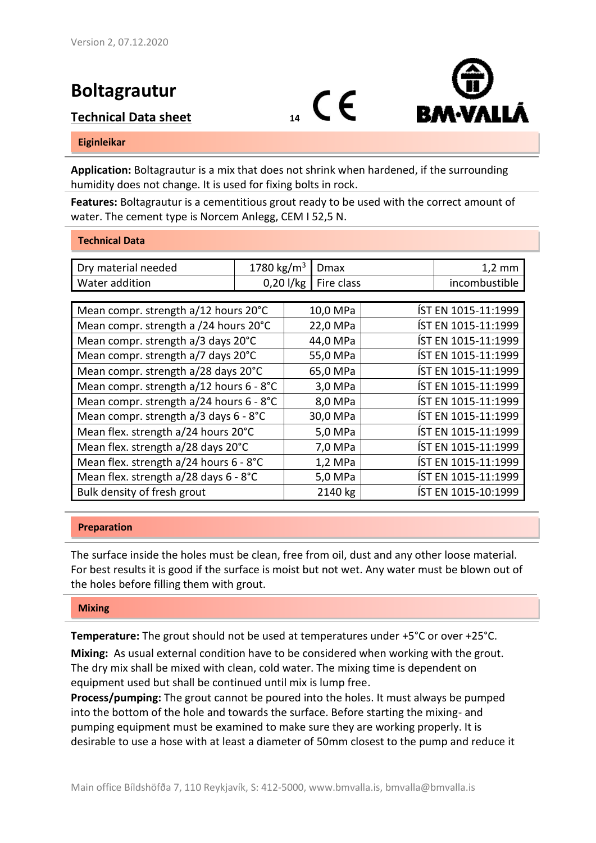## **Boltagrautur**





#### **Eiginleikar**

**Application:** Boltagrautur is a mix that does not shrink when hardened, if the surrounding humidity does not change. It is used for fixing bolts in rock.

**Features:** Boltagrautur is a cementitious grout ready to be used with the correct amount of water. The cement type is Norcem Anlegg, CEM I 52,5 N.

#### **Technical Data**

| Dry material needed                     | 1780 kg/m <sup>3</sup> |          | Dmax       |                     | $1,2 \text{ mm}$    |  |  |  |
|-----------------------------------------|------------------------|----------|------------|---------------------|---------------------|--|--|--|
| Water addition                          | $0,20$ l/kg            |          | Fire class |                     | incombustible       |  |  |  |
|                                         |                        |          |            |                     |                     |  |  |  |
| Mean compr. strength a/12 hours 20°C    |                        | 10,0 MPa |            |                     | ÍST EN 1015-11:1999 |  |  |  |
| Mean compr. strength a /24 hours 20°C   |                        | 22,0 MPa |            | ÍST EN 1015-11:1999 |                     |  |  |  |
| Mean compr. strength a/3 days 20°C      |                        |          | 44,0 MPa   |                     | ÍST EN 1015-11:1999 |  |  |  |
| Mean compr. strength a/7 days 20°C      |                        |          | 55,0 MPa   | ÍST EN 1015-11:1999 |                     |  |  |  |
| Mean compr. strength a/28 days 20°C     |                        | 65,0 MPa |            | ÍST EN 1015-11:1999 |                     |  |  |  |
| Mean compr. strength a/12 hours 6 - 8°C |                        |          | 3,0 MPa    |                     | ÍST EN 1015-11:1999 |  |  |  |
| Mean compr. strength a/24 hours 6 - 8°C |                        | 8,0 MPa  |            |                     | ÍST EN 1015-11:1999 |  |  |  |
| Mean compr. strength a/3 days 6 - 8°C   |                        | 30,0 MPa |            |                     | ÍST EN 1015-11:1999 |  |  |  |
| Mean flex. strength a/24 hours 20°C     |                        | 5,0 MPa  |            | ÍST EN 1015-11:1999 |                     |  |  |  |
| Mean flex. strength a/28 days 20°C      |                        | 7,0 MPa  |            |                     | ÍST EN 1015-11:1999 |  |  |  |
| Mean flex. strength a/24 hours 6 - 8°C  |                        | 1,2 MPa  |            | ÍST EN 1015-11:1999 |                     |  |  |  |
| Mean flex. strength a/28 days 6 - 8°C   |                        | 5,0 MPa  |            | ÍST EN 1015-11:1999 |                     |  |  |  |
| Bulk density of fresh grout             |                        | 2140 kg  |            | ÍST EN 1015-10:1999 |                     |  |  |  |

### **Preparation**

The surface inside the holes must be clean, free from oil, dust and any other loose material. For best results it is good if the surface is moist but not wet. Any water must be blown out of the holes before filling them with grout.

#### **Mixing**

**Temperature:** The grout should not be used at temperatures under +5°C or over +25°C.

**Mixing:** As usual external condition have to be considered when working with the grout. The dry mix shall be mixed with clean, cold water. The mixing time is dependent on equipment used but shall be continued until mix is lump free.

**Process/pumping:** The grout cannot be poured into the holes. It must always be pumped into the bottom of the hole and towards the surface. Before starting the mixing- and pumping equipment must be examined to make sure they are working properly. It is desirable to use a hose with at least a diameter of 50mm closest to the pump and reduce it